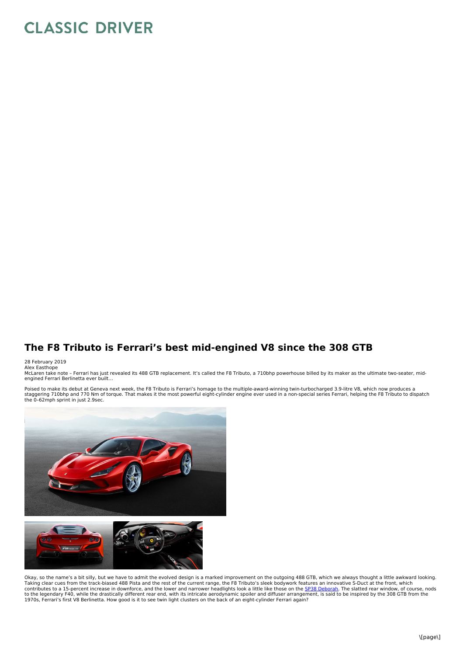## **CLASSIC DRIVER**

## **The F8 Tributo is Ferrari's best mid-engined V8 since the 308 GTB**

## 28 February 2019 Alex Easthope

McLaren take note – Ferrari has just revealed its 488 GTB replacement. It's called the F8 Tributo, a 710bhp powerhouse billed by its maker as the ultimate two-seater, mid-<br>engined Ferrari Berlinetta ever built…

Poised to make its debut at Geneva next week, the F8 Tributo is Ferrari's homage to the multiple-award-winning twin-turbocharged 3.9-litre V8, which now produces a<br>staggering 710bhp and 770 Nm of torque. That makes it the the 0–62mph sprint in just 2.9sec.



Okay, so the name's a bit silly, but we have to admit the evolved design is a marked improvement on the outgoing 488 GTB, which we always thought a little awkward looking.<br>Taking clear cues from the track-biased 488 Pista